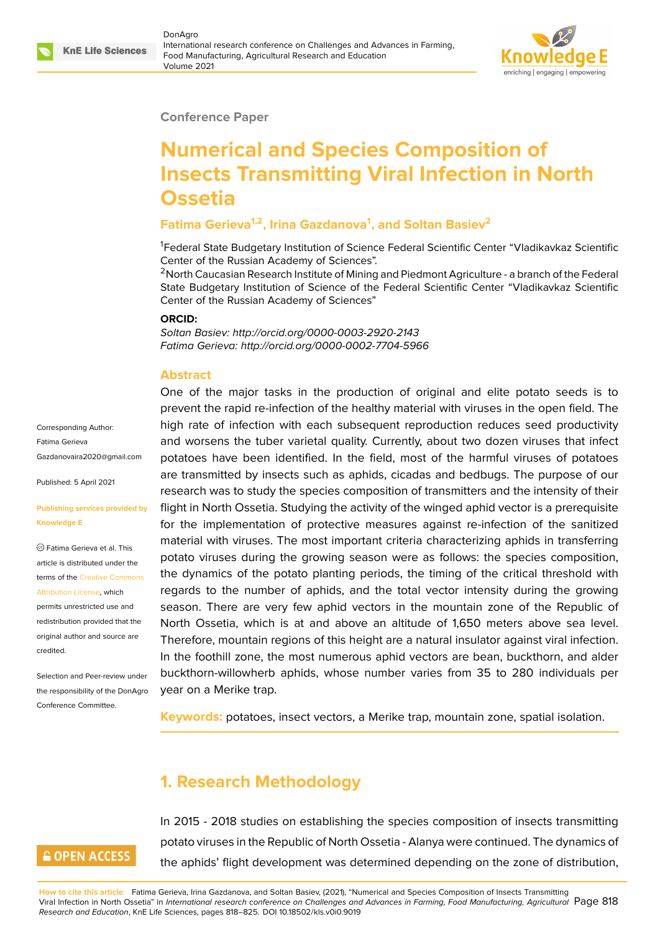

#### **Conference Paper**

# **Numerical and Species Composition of Insects Transmitting Viral Infection in North Ossetia**

### **Fatima Gerieva1,2, Irina Gazdanova<sup>1</sup> , and Soltan Basiev<sup>2</sup>**

<sup>1</sup>Federal State Budgetary Institution of Science Federal Scientific Center "Vladikavkaz Scientific Center of the Russian Academy of Sciences".

<sup>2</sup> North Caucasian Research Institute of Mining and Piedmont Agriculture - a branch of the Federal State Budgetary Institution of Science of the Federal Scientific Center "Vladikavkaz Scientific Center of the Russian Academy of Sciences"

#### **ORCID:**

*Soltan Basiev: http://orcid.org/0000-0003-2920-2143 Fatima Gerieva: http://orcid.org/0000-0002-7704-5966*

#### **Abstract**

Corresponding Author: Fаtima Gerieva Gazdanovaira2020@gmail.com

Published: 5 April 2021

#### **[Publishing services provided b](mailto:Gazdanovaira2020@gmail.com)y Knowledge E**

Fаtima Gerieva et al. This article is distributed under the terms of the Creative Commons Attribution License, which

permits unrestricted use and redistribution provided that the original auth[or and source are](https://creativecommons.org/licenses/by/4.0/) [credited.](https://creativecommons.org/licenses/by/4.0/)

Selection and Peer-review under the responsibility of the DonAgro Conference Committee.

One of the major tasks in the production of original and elite potato seeds is to prevent the rapid re-infection of the healthy material with viruses in the open field. The high rate of infection with each subsequent reproduction reduces seed productivity and worsens the tuber varietal quality. Currently, about two dozen viruses that infect potatoes have been identified. In the field, most of the harmful viruses of potatoes are transmitted by insects such as aphids, cicadas and bedbugs. The purpose of our research was to study the species composition of transmitters and the intensity of their flight in North Ossetia. Studying the activity of the winged aphid vector is a prerequisite for the implementation of protective measures against re-infection of the sanitized material with viruses. The most important criteria characterizing aphids in transferring potato viruses during the growing season were as follows: the species composition, the dynamics of the potato planting periods, the timing of the critical threshold with regards to the number of aphids, and the total vector intensity during the growing season. There are very few aphid vectors in the mountain zone of the Republic of North Ossetia, which is at and above an altitude of 1,650 meters above sea level. Therefore, mountain regions of this height are a natural insulator against viral infection. In the foothill zone, the most numerous aphid vectors are bean, buckthorn, and alder buckthorn-willowherb aphids, whose number varies from 35 to 280 individuals per year on a Merike trap.

**Keywords:** potatoes, insect vectors, a Merike trap, mountain zone, spatial isolation.

# **1. Research Methodology**

In 2015 - 2018 studies on establishing the species composition of insects transmitting potato viruses in the Republic of North Ossetia - Alanya were continued. The dynamics of the aphids' flight development was determined depending on the zone of distribution,

**How to cite this article**: Fatima Gerieva, Irina Gazdanova, and Soltan Basiev, (2021), "Numerical and Species Composition of Insects Transmitting Viral Infection in North Ossetia" in *International research conference on Challenges and Advances in Farming, Food Manufacturing, Agricultural* Page 818 *Research and Education*, KnE Life Sciences, pages 818–825. DOI 10.18502/kls.v0i0.9019

### **GOPEN ACCESS**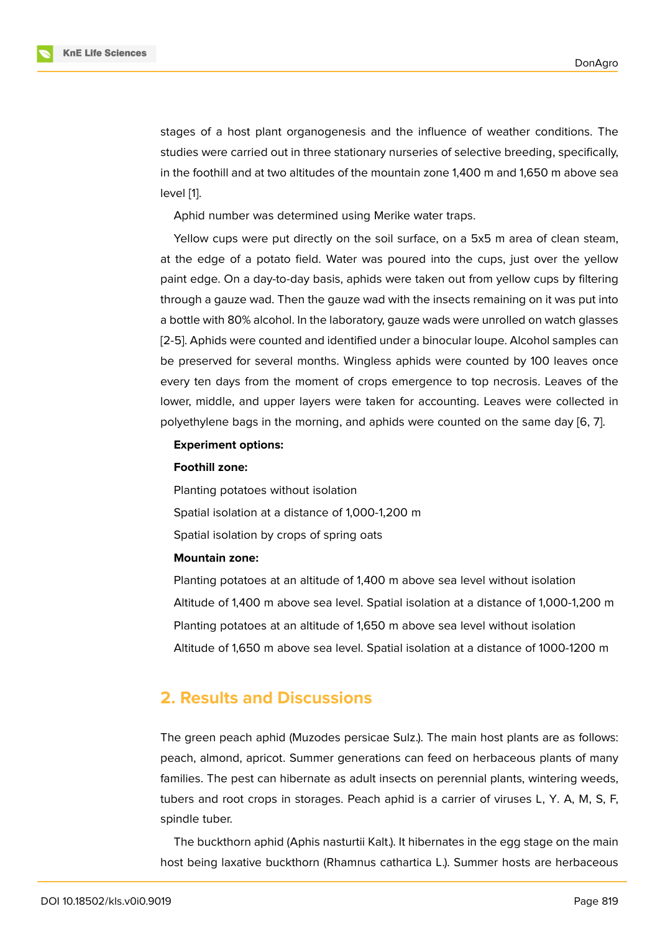stages of a host plant organogenesis and the influence of weather conditions. The studies were carried out in three stationary nurseries of selective breeding, specifically, in the foothill and at two altitudes of the mountain zone 1,400 m and 1,650 m above sea level [1].

Aphid number was determined using Merike water traps.

Yellow cups were put directly on the soil surface, on a 5x5 m area of clean steam, at th[e](#page-6-0) edge of a potato field. Water was poured into the cups, just over the yellow paint edge. On a day-to-day basis, aphids were taken out from yellow cups by filtering through a gauze wad. Then the gauze wad with the insects remaining on it was put into a bottle with 80% alcohol. In the laboratory, gauze wads were unrolled on watch glasses [2-5]. Aphids were counted and identified under a binocular loupe. Alcohol samples can be preserved for several months. Wingless aphids were counted by 100 leaves once every ten days from the moment of crops emergence to top necrosis. Leaves of the lower, middle, and upper layers were taken for accounting. Leaves were collected in polyethylene bags in the morning, and aphids were counted on the same day [6, 7].

#### **Experiment options:**

#### **Foothill zone:**

Planting potatoes without isolation Spatial isolation at a distance of 1,000-1,200 m Spatial isolation by crops of spring oats

#### **Mountain zone:**

Planting potatoes at an altitude of 1,400 m above sea level without isolation Altitude of 1,400 m above sea level. Spatial isolation at a distance of 1,000-1,200 m Planting potatoes at an altitude of 1,650 m above sea level without isolation Altitude of 1,650 m above sea level. Spatial isolation at a distance of 1000-1200 m

### **2. Results and Discussions**

The green peach aphid (Muzodes persicae Sulz.). The main host plants are as follows: peach, almond, apricot. Summer generations can feed on herbaceous plants of many families. The pest can hibernate as adult insects on perennial plants, wintering weeds, tubers and root crops in storages. Peach aphid is a carrier of viruses L, Y. A, M, S, F, spindle tuber.

The buckthorn aphid (Aphis nasturtii Kalt.). It hibernates in the egg stage on the main host being laxative buckthorn (Rhamnus cathartica L.). Summer hosts are herbaceous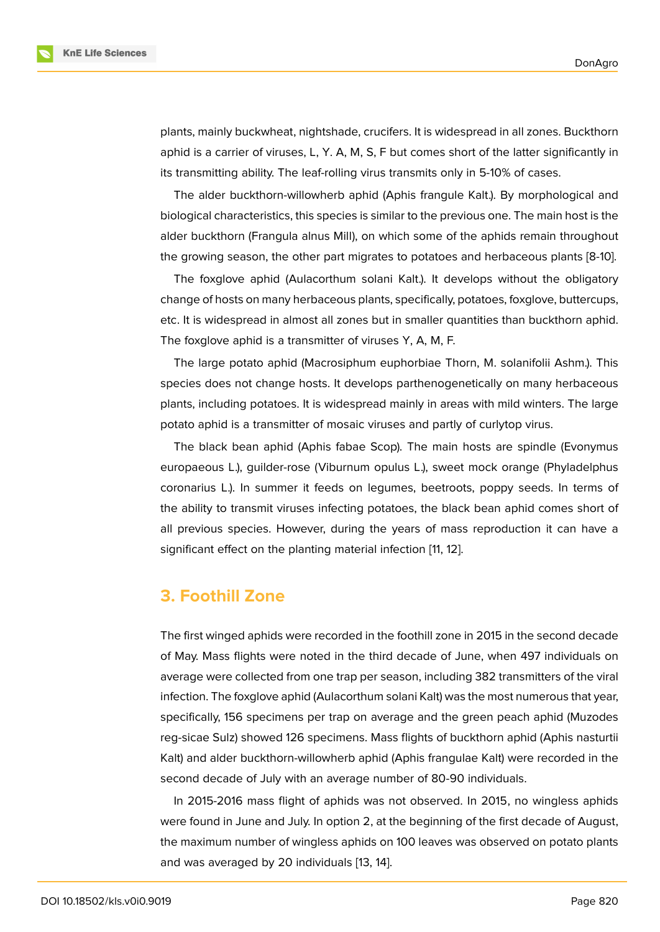plants, mainly buckwheat, nightshade, crucifers. It is widespread in all zones. Buckthorn aphid is a carrier of viruses, L, Y. A, M, S, F but comes short of the latter significantly in its transmitting ability. The leaf-rolling virus transmits only in 5-10% of cases.

The alder buckthorn-willowherb aphid (Aphis frangule Kalt.). By morphological and biological characteristics, this species is similar to the previous one. The main host is the alder buckthorn (Frangula alnus Mill), on which some of the aphids remain throughout the growing season, the other part migrates to potatoes and herbaceous plants [8-10].

The foxglove aphid (Aulacorthum solani Kalt.). It develops without the obligatory change of hosts on many herbaceous plants, specifically, potatoes, foxglove, buttercups, etc. It is widespread in almost all zones but in smaller quantities than buckthorn aphid. The foxglove aphid is a transmitter of viruses Y, A, M, F.

The large potato aphid (Macrosiphum euphorbiae Thorn, M. solanifolii Ashm.). This species does not change hosts. It develops parthenogenetically on many herbaceous plants, including potatoes. It is widespread mainly in areas with mild winters. The large potato aphid is a transmitter of mosaic viruses and partly of curlytop virus.

The black bean aphid (Aphis fabae Scop). The main hosts are spindle (Evonymus europaeous L.), guilder-rose (Viburnum opulus L.), sweet mock orange (Phyladelphus coronarius L.). In summer it feeds on legumes, beetroots, poppy seeds. In terms of the ability to transmit viruses infecting potatoes, the black bean aphid comes short of all previous species. However, during the years of mass reproduction it can have a significant effect on the planting material infection [11, 12].

### **3. Foothill Zone**

The first winged aphids were recorded in the foothill zone in 2015 in the second decade of May. Mass flights were noted in the third decade of June, when 497 individuals on average were collected from one trap per season, including 382 transmitters of the viral infection. The foxglove aphid (Aulacorthum solani Kalt) was the most numerous that year, specifically, 156 specimens per trap on average and the green peach aphid (Muzodes reg-sicae Sulz) showed 126 specimens. Mass flights of buckthorn aphid (Aphis nasturtii Kalt) and alder buckthorn-willowherb aphid (Aphis frangulae Kalt) were recorded in the second decade of July with an average number of 80-90 individuals.

In 2015-2016 mass flight of aphids was not observed. In 2015, no wingless aphids were found in June and July. In option 2, at the beginning of the first decade of August, the maximum number of wingless aphids on 100 leaves was observed on potato plants and was averaged by 20 individuals [13, 14].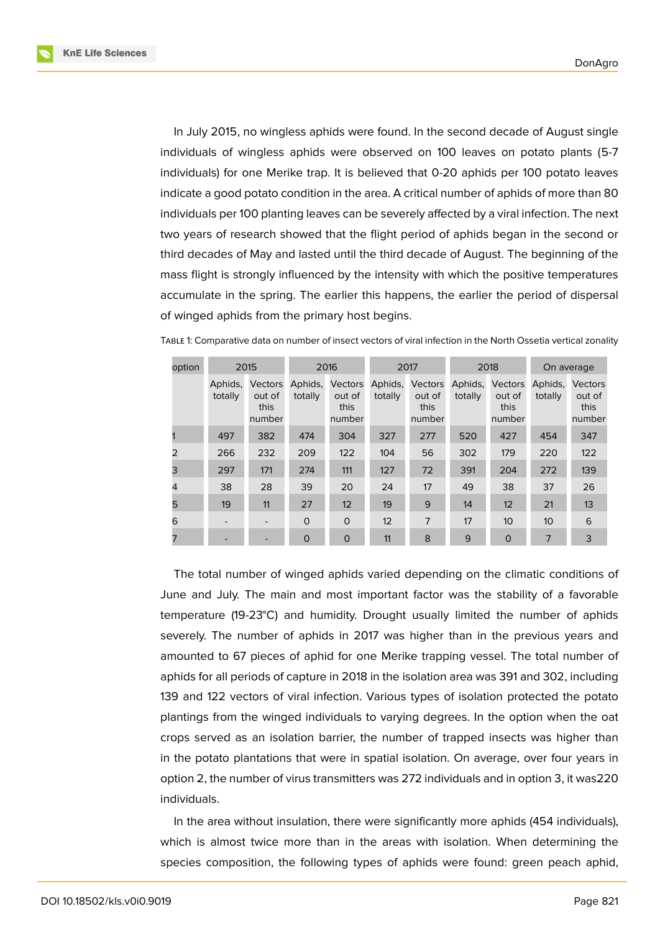**KnE Life Sciences** 



In July 2015, no wingless aphids were found. In the second decade of August single individuals of wingless aphids were observed on 100 leaves on potato plants (5-7 individuals) for one Merike trap. It is believed that 0-20 aphids per 100 potato leaves indicate a good potato condition in the area. A critical number of aphids of more than 80 individuals per 100 planting leaves can be severely affected by a viral infection. The next two years of research showed that the flight period of aphids began in the second or third decades of May and lasted until the third decade of August. The beginning of the mass flight is strongly influenced by the intensity with which the positive temperatures accumulate in the spring. The earlier this happens, the earlier the period of dispersal of winged aphids from the primary host begins.

| option | 2015               |                                     | 2016               |                                     | 2017               |                                     | 2018               |                                     | On average         |                                            |
|--------|--------------------|-------------------------------------|--------------------|-------------------------------------|--------------------|-------------------------------------|--------------------|-------------------------------------|--------------------|--------------------------------------------|
|        | Aphids,<br>totally | Vectors<br>out of<br>this<br>number | Aphids,<br>totally | Vectors<br>out of<br>this<br>number | Aphids,<br>totally | Vectors<br>out of<br>this<br>number | Aphids,<br>totally | Vectors<br>out of<br>this<br>number | Aphids,<br>totally | <b>Vectors</b><br>out of<br>this<br>number |
|        | 497                | 382                                 | 474                | 304                                 | 327                | 277                                 | 520                | 427                                 | 454                | 347                                        |
|        | 266                | 232                                 | 209                | 122                                 | 104                | 56                                  | 302                | 179                                 | 220                | 122                                        |
| 3      | 297                | 171                                 | 274                | 111                                 | 127                | 72                                  | 391                | 204                                 | 272                | 139                                        |
| 4      | 38                 | 28                                  | 39                 | 20                                  | 24                 | 17                                  | 49                 | 38                                  | 37                 | 26                                         |
| 5      | 19                 | 11                                  | 27                 | 12                                  | 19                 | 9                                   | 14                 | 12                                  | 21                 | 13                                         |
| 6      |                    |                                     | $\Omega$           | $\Omega$                            | 12                 | $\overline{7}$                      | 17                 | 10 <sup>°</sup>                     | 10 <sup>°</sup>    | 6                                          |
|        |                    |                                     | $\Omega$           | $\mathbf 0$                         | 11                 | 8                                   | 9                  | $\mathbf 0$                         | 7                  | 3                                          |

TABLE 1: Comparative data on number of insect vectors of viral infection in the North Ossetia vertical zonality

The total number of winged aphids varied depending on the climatic conditions of June and July. The main and most important factor was the stability of a favorable temperature (19-23°C) and humidity. Drought usually limited the number of aphids severely. The number of aphids in 2017 was higher than in the previous years and amounted to 67 pieces of aphid for one Merike trapping vessel. The total number of aphids for all periods of capture in 2018 in the isolation area was 391 and 302, including 139 and 122 vectors of viral infection. Various types of isolation protected the potato plantings from the winged individuals to varying degrees. In the option when the oat crops served as an isolation barrier, the number of trapped insects was higher than in the potato plantations that were in spatial isolation. On average, over four years in option 2, the number of virus transmitters was 272 individuals and in option 3, it was220 individuals.

In the area without insulation, there were significantly more aphids (454 individuals), which is almost twice more than in the areas with isolation. When determining the species composition, the following types of aphids were found: green peach aphid,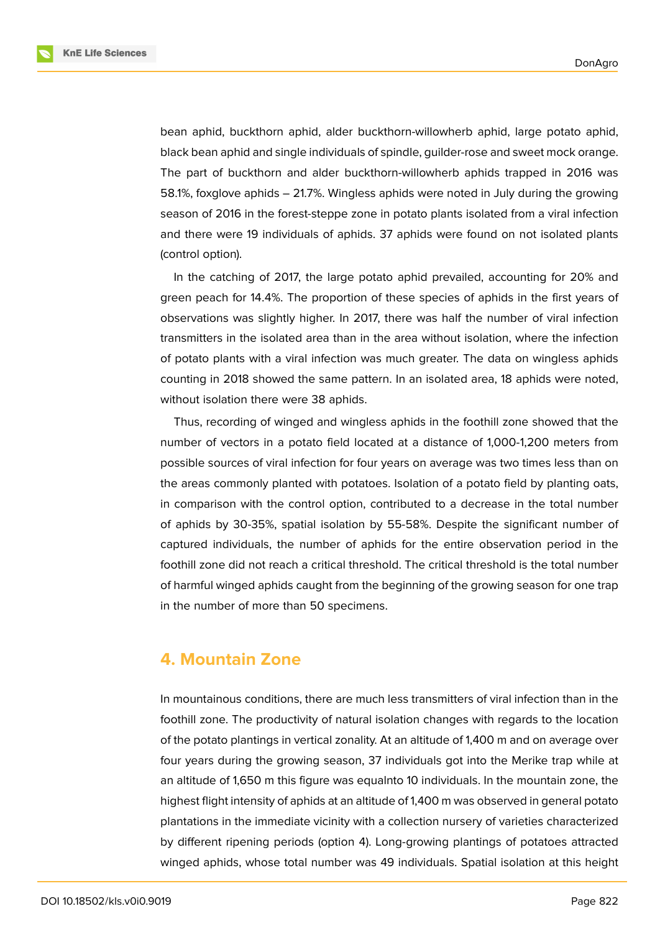

bean aphid, buckthorn aphid, alder buckthorn-willowherb aphid, large potato aphid, black bean aphid and single individuals of spindle, guilder-rose and sweet mock orange. The part of buckthorn and alder buckthorn-willowherb aphids trapped in 2016 was 58.1%, foxglove aphids – 21.7%. Wingless aphids were noted in July during the growing season of 2016 in the forest-steppe zone in potato plants isolated from a viral infection and there were 19 individuals of aphids. 37 aphids were found on not isolated plants (control option).

In the catching of 2017, the large potato aphid prevailed, accounting for 20% and green peach for 14.4%. The proportion of these species of aphids in the first years of observations was slightly higher. In 2017, there was half the number of viral infection transmitters in the isolated area than in the area without isolation, where the infection of potato plants with a viral infection was much greater. The data on wingless aphids counting in 2018 showed the same pattern. In an isolated area, 18 aphids were noted, without isolation there were 38 aphids.

Thus, recording of winged and wingless aphids in the foothill zone showed that the number of vectors in a potato field located at a distance of 1,000-1,200 meters from possible sources of viral infection for four years on average was two times less than on the areas commonly planted with potatoes. Isolation of a potato field by planting oats, in comparison with the control option, contributed to a decrease in the total number of aphids by 30-35%, spatial isolation by 55-58%. Despite the significant number of captured individuals, the number of aphids for the entire observation period in the foothill zone did not reach a critical threshold. The critical threshold is the total number of harmful winged aphids caught from the beginning of the growing season for one trap in the number of more than 50 specimens.

## **4. Mountain Zone**

In mountainous conditions, there are much less transmitters of viral infection than in the foothill zone. The productivity of natural isolation changes with regards to the location of the potato plantings in vertical zonality. At an altitude of 1,400 m and on average over four years during the growing season, 37 individuals got into the Merike trap while at an altitude of 1,650 m this figure was equalnto 10 individuals. In the mountain zone, the highest flight intensity of aphids at an altitude of 1,400 m was observed in general potato plantations in the immediate vicinity with a collection nursery of varieties characterized by different ripening periods (option 4). Long-growing plantings of potatoes attracted winged aphids, whose total number was 49 individuals. Spatial isolation at this height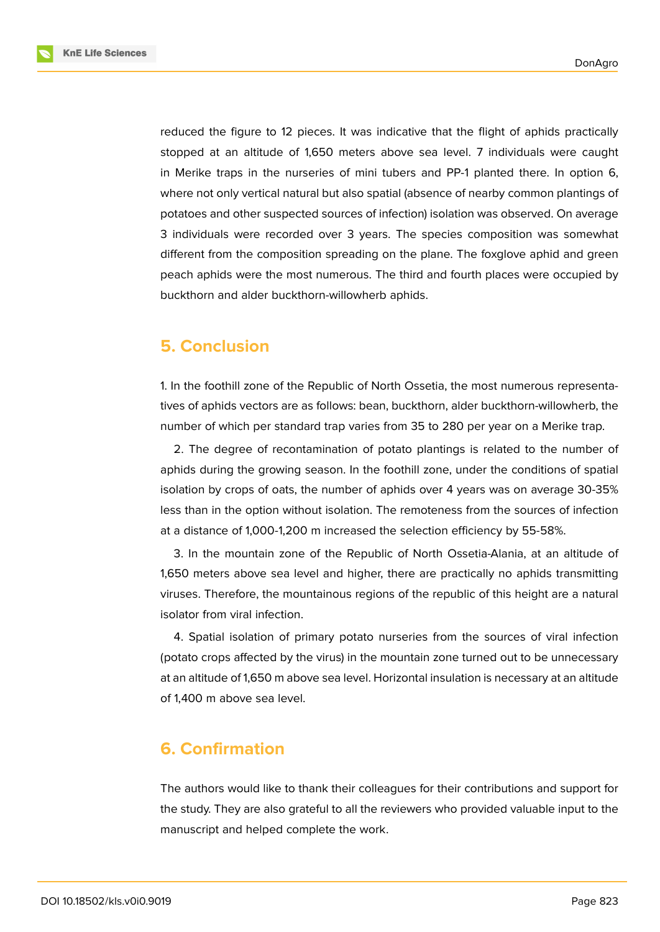**KnE Life Sciences** 



reduced the figure to 12 pieces. It was indicative that the flight of aphids practically stopped at an altitude of 1,650 meters above sea level. 7 individuals were caught in Merike traps in the nurseries of mini tubers and PP-1 planted there. In option 6, where not only vertical natural but also spatial (absence of nearby common plantings of potatoes and other suspected sources of infection) isolation was observed. On average 3 individuals were recorded over 3 years. The species composition was somewhat different from the composition spreading on the plane. The foxglove aphid and green peach aphids were the most numerous. The third and fourth places were occupied by buckthorn and alder buckthorn-willowherb aphids.

# **5. Conclusion**

1. In the foothill zone of the Republic of North Ossetia, the most numerous representatives of aphids vectors are as follows: bean, buckthorn, alder buckthorn-willowherb, the number of which per standard trap varies from 35 to 280 per year on a Merike trap.

2. The degree of recontamination of potato plantings is related to the number of aphids during the growing season. In the foothill zone, under the conditions of spatial isolation by crops of oats, the number of aphids over 4 years was on average 30-35% less than in the option without isolation. The remoteness from the sources of infection at a distance of 1,000-1,200 m increased the selection efficiency by 55-58%.

3. In the mountain zone of the Republic of North Ossetia-Alania, at an altitude of 1,650 meters above sea level and higher, there are practically no aphids transmitting viruses. Therefore, the mountainous regions of the republic of this height are a natural isolator from viral infection.

4. Spatial isolation of primary potato nurseries from the sources of viral infection (potato crops affected by the virus) in the mountain zone turned out to be unnecessary at an altitude of 1,650 m above sea level. Horizontal insulation is necessary at an altitude of 1,400 m above sea level.

# **6. Confirmation**

The authors would like to thank their colleagues for their contributions and support for the study. They are also grateful to all the reviewers who provided valuable input to the manuscript and helped complete the work.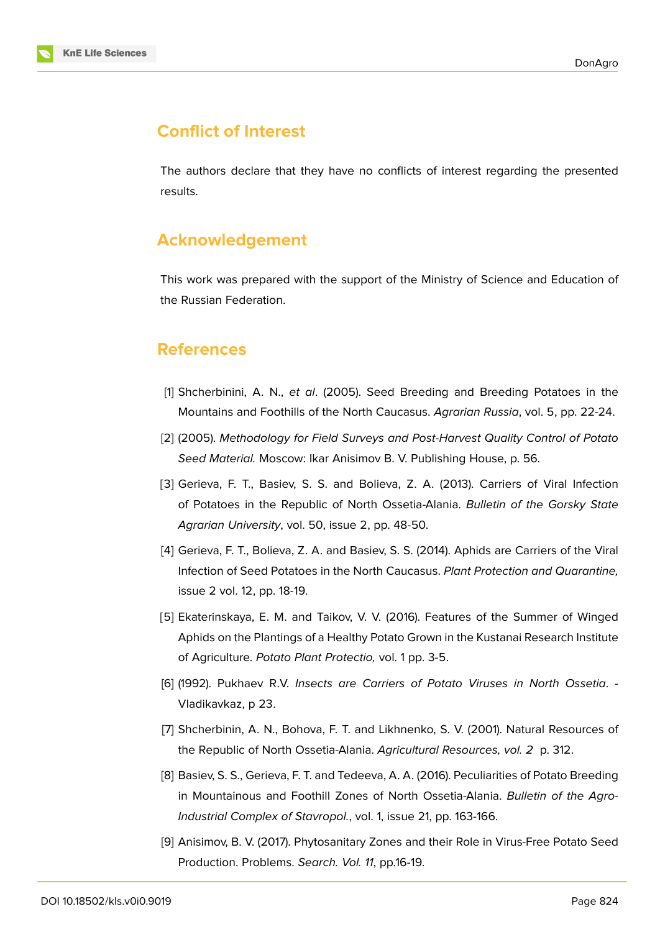# **Conflict of Interest**

The authors declare that they have no conflicts of interest regarding the presented results.

## **Acknowledgement**

This work was prepared with the support of the Ministry of Science and Education of the Russian Federation.

# **References**

- <span id="page-6-0"></span>[1] Shcherbinini, A. N., *et al*. (2005). Seed Breeding and Breeding Potatoes in the Mountains and Foothills of the North Caucasus. *Agrarian Russia*, vol. 5, pp. 22-24.
- [2] (2005). *Methodology for Field Surveys and Post-Harvest Quality Control of Potato Seed Material.* Moscow: Ikar Anisimov B. V. Publishing House, p. 56.
- [3] Gerieva, F. T., Basiev, S. S. and Bolieva, Z. A. (2013). Carriers of Viral Infection of Potatoes in the Republic of North Ossetia-Alania. *Bulletin of the Gorsky State Agrarian University*, vol. 50, issue 2, pp. 48-50.
- [4] Gerieva, F. T., Bolieva, Z. A. and Basiev, S. S. (2014). Aphids are Carriers of the Viral Infection of Seed Potatoes in the North Caucasus. *Plant Protection and Quarantine,* issue 2 vol. 12, pp. 18-19.
- [5] Ekaterinskaya, E. M. and Taikov, V. V. (2016). Features of the Summer of Winged Aphids on the Plantings of a Healthy Potato Grown in the Kustanai Research Institute of Agriculture. *Potato Plant Protectio,* vol. 1 pp. 3-5.
- [6] (1992). Pukhaev R.V. *Insects are Carriers of Potato Viruses in North Ossetia*. Vladikavkaz, p 23.
- [7] Shcherbinin, A. N., Bohova, F. T. and Likhnenko, S. V. (2001). Natural Resources of the Republic of North Ossetia-Alania. *Agricultural Resources, vol. 2* p. 312.
- [8] Basiev, S. S., Gerieva, F. T. and Tedeeva, A. A. (2016). Peculiarities of Potato Breeding in Mountainous and Foothill Zones of North Ossetia-Alania. *Bulletin of the Agro-Industrial Complex of Stavropol.*, vol. 1, issue 21, pp. 163-166.
- [9] Anisimov, B. V. (2017). Phytosanitary Zones and their Role in Virus-Free Potato Seed Production. Problems. *Search. Vol. 11*, pp.16-19.